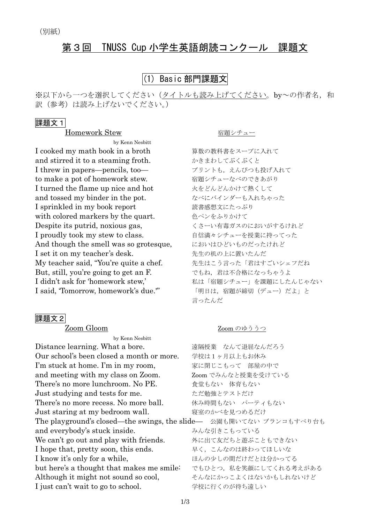# 第3回 TNUSS Cup 小学生英語朗読コンクール 課題文

# (1) Basic 部門課題文

※以下から一つを選択してください(タイトルも読み上げてください。by~の作者名,和 訳(参考)は読み上げないでください。)

### 課題文1

Homework Stew <br>
宿題シチュー

by Kenn Nesbitt I cooked my math book in a broth – – – 算数の教科書をスープに入れて and stirred it to a steaming froth. かきまわしてぶくぶくと I threw in papers-pencils, too-<br>
フリントも、えんぴつも投げ入れて to make a pot of homework stew. <br>宿題シチューなべのできあがり I turned the flame up nice and hot 火をどんどんかけて熱くして and tossed my binder in the pot. なべにバインダーも入れちゃった I sprinkled in my book report 読書感想文にたっぷり with colored markers by the quart. <br>
色ペンをふりかけて Despite its putrid, noxious gas, くさーい有毒ガスのにおいがするけれど I proudly took my stew to class. 自信満々シチューを授業に持ってった And though the smell was so grotesque, においはひどいものだったけれど I set it on my teacher's desk. 失生の机の上に置いたんだ My teacher said, "You're quite a chef. 先生はこう言った「君はすごいシェフだね But, still, you're going to get an F. <a>
でもね, 君は不合格になっちゃうよ I didn't ask for 'homework stew,' 私は「宿題シチュー」を課題にしたんじゃない I said, 'Tomorrow, homework's due.'" 「明日は,宿題が締切(デュー)だよ」と

#### 課題文2

by Kenn Nesbitt Distance learning. What a bore. るって遠隔授業 なんて退屈なんだろう Our school's been closed a month or more. 学校は1ヶ月以上もお休み I'm stuck at home. I'm in my room, 家に閉じこもって 部屋の中で and meeting with my class on Zoom. Zoom でみんなと授業を受けている There's no more lunchroom. No PE. <br> **Example 2** 食堂もない 体育もない Just studying and tests for me. the ただ勉強とテストだけ There's no more recess. No more ball. 休み時間もない パーティもない Just staring at my bedroom wall. <br/>
寝室のかべを見つめるだけ The playground's closed—the swings, the slide— 公園も開いてない ブランコもすべり台も and everybody's stuck inside. みんな引きこもっている We can't go out and play with friends. タに出て友だちと遊ぶこともできない I hope that, pretty soon, this ends. キく、こんなのは終わってほしいな I know it's only for a while, <br>
and the two depth of the term of the term of the term of the term of the term of the term of term of the term but here's a thought that makes me smile: でもひとつ、私を笑顔にしてくれる考えがある Although it might not sound so cool, そんなにかっこよくはないかもしれないけど I just can't wait to go to school. 学校に行くのが待ち遠しい

言ったんだ

#### Zoom Gloom Zoom のゆううつ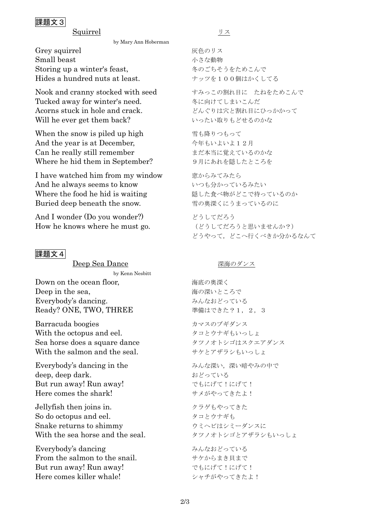## 課題文3

Squirrel リス

by Mary Ann Hoberman

Grey squirrel アンチング 灰色のリス Small beast カンタン おんな動物 かさな動物 Storing up a winter's feast, 冬のごちそうをためこんで Hides a hundred nuts at least. ナッツを100個はかくしてる

Nook and cranny stocked with seed すみっこの割れ目に たねをためこんで Tucked away for winter's need. <a>
<a>
<a>
<a>
<a>
<a>
<a>
<a>
<a>
<a</>
<a>
<a</>
<a>
<a</>
<a</>
<a</>
<a</>
<a</>
<a>
<a</>
<a</>
<a</>
<a</>
<a</a</a</a</a>
<a>
<a</a</a>
<a</a</a>
<a</a</a>
<a</a</a>
<a</a</a>
<a</a Acorns stuck in hole and crack. どんぐりは穴と割れ目にひっかかって Will he ever get them back? いったい取りもどせるのかな

When the snow is piled up high <br>雪も降りつもって And the year is at December, 今年もいよいよ12月 Can he really still remember まだ本当に覚えているのかな Where he hid them in September? 9月にあれを隠したところを

I have watched him from my window 窓からみてみたら And he always seems to know いつも分かっているみたい Where the food he hid is waiting <br>
图した食べ物がどこで待っているのか Buried deep beneath the snow. <br>
雪の奥深くにうまっているのに

And I wonder (Do you wonder?) とうしてだろう How he knows where he must go. (どうしてだろうと思いませんか?)

### 課題文4

Deep Sea Dance スポイント 深海のダンス by Kenn Nesbitt **Down on the ocean floor.** カラン 海底の奥深く Deep in the sea, https://www.mail.com/mail/and/mail/and/mail/and/mail/and/mail/and/mail/and/mail/and/mail/and/ Everybody's dancing. みんなおどっている

Barracuda boogies カマスのブギダンス With the octopus and eel. クコとウナギもいっしょ Sea horse does a square dance タツノオトシゴはスクエアダンス With the salmon and the seal. サケとアザラシもいっしょ

Everybody's dancing in the みんな深い、深い暗やみの中で deep, deep dark. おどっている But run away! Run away! **Example 20** でもにげて!にげて! Here comes the shark! サメがやってきたよ!

Jellyfish then joins in. クラゲもやってきた So do octopus and eel. タコとウナギも Snake returns to shimmy カミヘビはシミーダンスに With the sea horse and the seal. タツノオトシゴとアザラシもいっしょ

Everybody's dancing みんなおどっている From the salmon to the snail. サケからまき貝まで But run away! Run away! **Example 20** でもにげて!にげて! Here comes killer whale! シャチがやってきたよ!

どうやって,どこへ行くべきか分かるなんて

Ready? ONE, TWO, THREE 準備はできた? 1, 2, 3